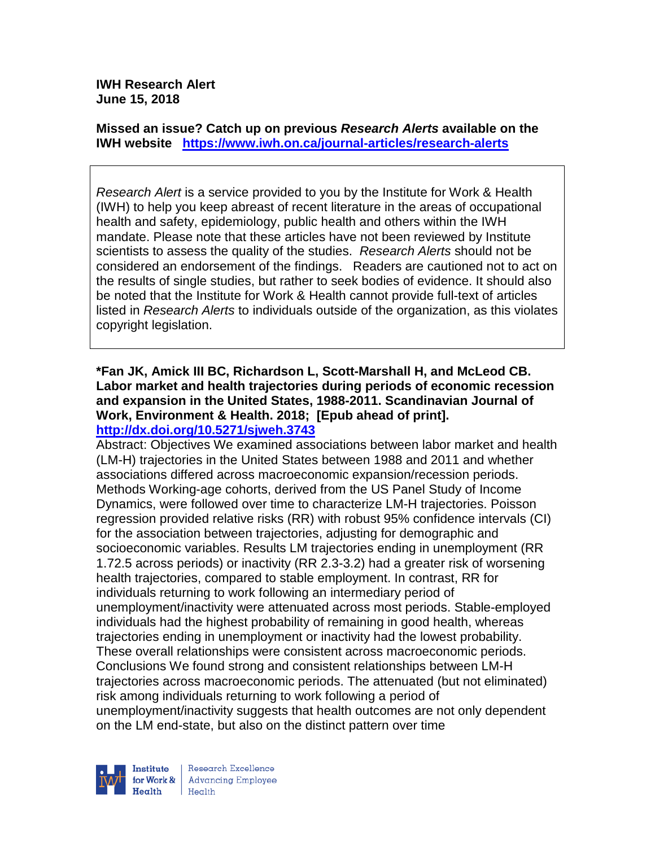**IWH Research Alert June 15, 2018**

**Missed an issue? Catch up on previous** *Research Alerts* **available on the [IWH website](http://www.iwh.on.ca/research-alerts) <https://www.iwh.on.ca/journal-articles/research-alerts>**

*Research Alert* is a service provided to you by the Institute for Work & Health (IWH) to help you keep abreast of recent literature in the areas of occupational health and safety, epidemiology, public health and others within the IWH mandate. Please note that these articles have not been reviewed by Institute scientists to assess the quality of the studies. *Research Alerts* should not be considered an endorsement of the findings. Readers are cautioned not to act on the results of single studies, but rather to seek bodies of evidence. It should also be noted that the Institute for Work & Health cannot provide full-text of articles listed in *Research Alerts* to individuals outside of the organization, as this violates copyright legislation.

### **\*Fan JK, Amick III BC, Richardson L, Scott-Marshall H, and McLeod CB. Labor market and health trajectories during periods of economic recession and expansion in the United States, 1988-2011. Scandinavian Journal of Work, Environment & Health. 2018; [Epub ahead of print]. <http://dx.doi.org/10.5271/sjweh.3743>**

Abstract: Objectives We examined associations between labor market and health (LM-H) trajectories in the United States between 1988 and 2011 and whether associations differed across macroeconomic expansion/recession periods. Methods Working-age cohorts, derived from the US Panel Study of Income Dynamics, were followed over time to characterize LM-H trajectories. Poisson regression provided relative risks (RR) with robust 95% confidence intervals (CI) for the association between trajectories, adjusting for demographic and socioeconomic variables. Results LM trajectories ending in unemployment (RR 1.72.5 across periods) or inactivity (RR 2.3-3.2) had a greater risk of worsening health trajectories, compared to stable employment. In contrast, RR for individuals returning to work following an intermediary period of unemployment/inactivity were attenuated across most periods. Stable-employed individuals had the highest probability of remaining in good health, whereas trajectories ending in unemployment or inactivity had the lowest probability. These overall relationships were consistent across macroeconomic periods. Conclusions We found strong and consistent relationships between LM-H trajectories across macroeconomic periods. The attenuated (but not eliminated) risk among individuals returning to work following a period of unemployment/inactivity suggests that health outcomes are not only dependent on the LM end-state, but also on the distinct pattern over time

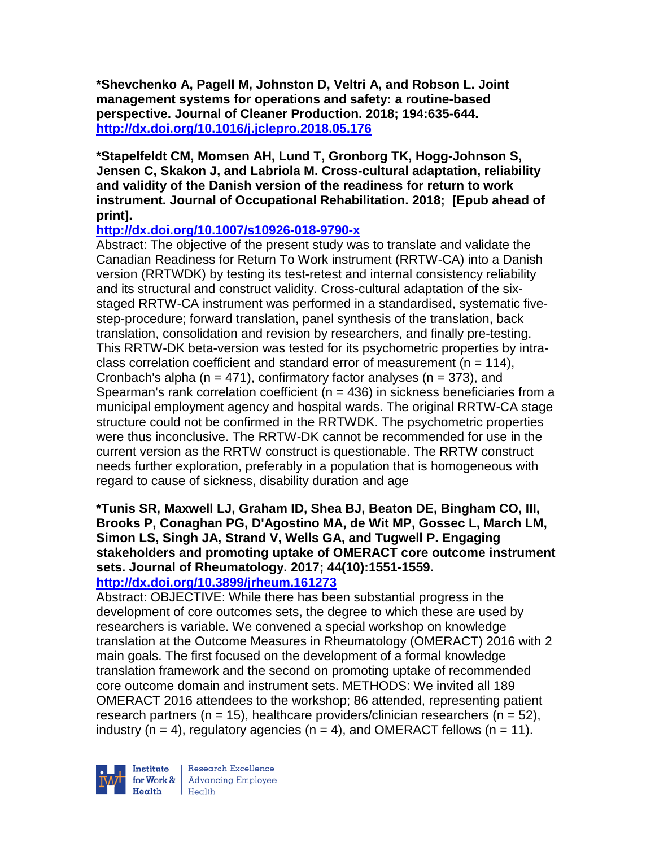**\*Shevchenko A, Pagell M, Johnston D, Veltri A, and Robson L. Joint management systems for operations and safety: a routine-based perspective. Journal of Cleaner Production. 2018; 194:635-644. <http://dx.doi.org/10.1016/j.jclepro.2018.05.176>**

**\*Stapelfeldt CM, Momsen AH, Lund T, Gronborg TK, Hogg-Johnson S, Jensen C, Skakon J, and Labriola M. Cross-cultural adaptation, reliability and validity of the Danish version of the readiness for return to work instrument. Journal of Occupational Rehabilitation. 2018; [Epub ahead of print].**

### **<http://dx.doi.org/10.1007/s10926-018-9790-x>**

Abstract: The objective of the present study was to translate and validate the Canadian Readiness for Return To Work instrument (RRTW-CA) into a Danish version (RRTWDK) by testing its test-retest and internal consistency reliability and its structural and construct validity. Cross-cultural adaptation of the sixstaged RRTW-CA instrument was performed in a standardised, systematic fivestep-procedure; forward translation, panel synthesis of the translation, back translation, consolidation and revision by researchers, and finally pre-testing. This RRTW-DK beta-version was tested for its psychometric properties by intraclass correlation coefficient and standard error of measurement ( $n = 114$ ), Cronbach's alpha ( $n = 471$ ), confirmatory factor analyses ( $n = 373$ ), and Spearman's rank correlation coefficient ( $n = 436$ ) in sickness beneficiaries from a municipal employment agency and hospital wards. The original RRTW-CA stage structure could not be confirmed in the RRTWDK. The psychometric properties were thus inconclusive. The RRTW-DK cannot be recommended for use in the current version as the RRTW construct is questionable. The RRTW construct needs further exploration, preferably in a population that is homogeneous with regard to cause of sickness, disability duration and age

# **\*Tunis SR, Maxwell LJ, Graham ID, Shea BJ, Beaton DE, Bingham CO, III, Brooks P, Conaghan PG, D'Agostino MA, de Wit MP, Gossec L, March LM, Simon LS, Singh JA, Strand V, Wells GA, and Tugwell P. Engaging stakeholders and promoting uptake of OMERACT core outcome instrument sets. Journal of Rheumatology. 2017; 44(10):1551-1559.**

# **<http://dx.doi.org/10.3899/jrheum.161273>**

Abstract: OBJECTIVE: While there has been substantial progress in the development of core outcomes sets, the degree to which these are used by researchers is variable. We convened a special workshop on knowledge translation at the Outcome Measures in Rheumatology (OMERACT) 2016 with 2 main goals. The first focused on the development of a formal knowledge translation framework and the second on promoting uptake of recommended core outcome domain and instrument sets. METHODS: We invited all 189 OMERACT 2016 attendees to the workshop; 86 attended, representing patient research partners ( $n = 15$ ), healthcare providers/clinician researchers ( $n = 52$ ), industry (n = 4), regulatory agencies (n = 4), and OMERACT fellows (n = 11).



**Institute** Research Excellence<br>**for Work &** Advancing Employee  $H$ ealth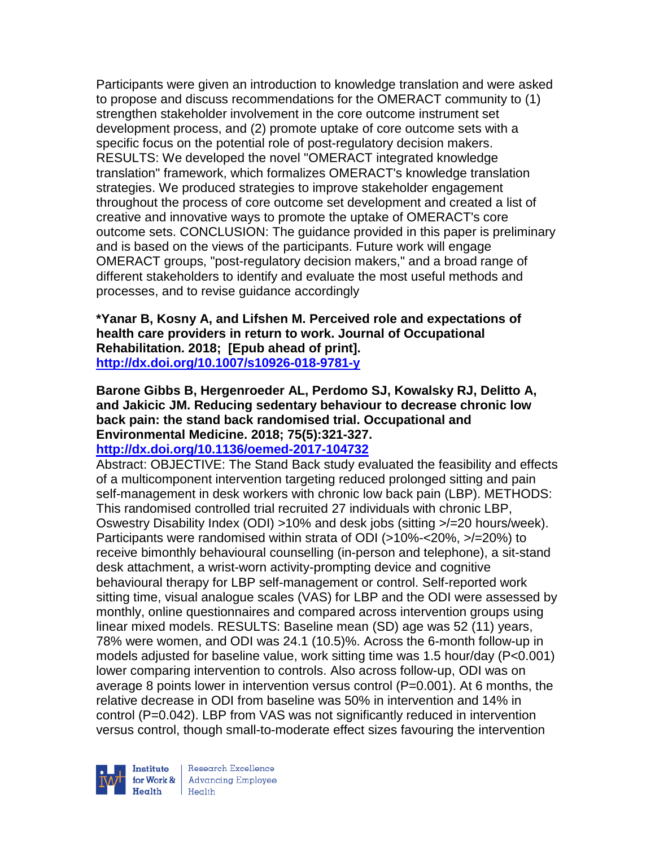Participants were given an introduction to knowledge translation and were asked to propose and discuss recommendations for the OMERACT community to (1) strengthen stakeholder involvement in the core outcome instrument set development process, and (2) promote uptake of core outcome sets with a specific focus on the potential role of post-regulatory decision makers. RESULTS: We developed the novel "OMERACT integrated knowledge translation" framework, which formalizes OMERACT's knowledge translation strategies. We produced strategies to improve stakeholder engagement throughout the process of core outcome set development and created a list of creative and innovative ways to promote the uptake of OMERACT's core outcome sets. CONCLUSION: The guidance provided in this paper is preliminary and is based on the views of the participants. Future work will engage OMERACT groups, "post-regulatory decision makers," and a broad range of different stakeholders to identify and evaluate the most useful methods and processes, and to revise guidance accordingly

**\*Yanar B, Kosny A, and Lifshen M. Perceived role and expectations of health care providers in return to work. Journal of Occupational Rehabilitation. 2018; [Epub ahead of print]. <http://dx.doi.org/10.1007/s10926-018-9781-y>**

# **Barone Gibbs B, Hergenroeder AL, Perdomo SJ, Kowalsky RJ, Delitto A, and Jakicic JM. Reducing sedentary behaviour to decrease chronic low back pain: the stand back randomised trial. Occupational and Environmental Medicine. 2018; 75(5):321-327.**

### **<http://dx.doi.org/10.1136/oemed-2017-104732>**

Abstract: OBJECTIVE: The Stand Back study evaluated the feasibility and effects of a multicomponent intervention targeting reduced prolonged sitting and pain self-management in desk workers with chronic low back pain (LBP). METHODS: This randomised controlled trial recruited 27 individuals with chronic LBP, Oswestry Disability Index (ODI) >10% and desk jobs (sitting >/=20 hours/week). Participants were randomised within strata of ODI (>10%-<20%, >/=20%) to receive bimonthly behavioural counselling (in-person and telephone), a sit-stand desk attachment, a wrist-worn activity-prompting device and cognitive behavioural therapy for LBP self-management or control. Self-reported work sitting time, visual analogue scales (VAS) for LBP and the ODI were assessed by monthly, online questionnaires and compared across intervention groups using linear mixed models. RESULTS: Baseline mean (SD) age was 52 (11) years, 78% were women, and ODI was 24.1 (10.5)%. Across the 6-month follow-up in models adjusted for baseline value, work sitting time was 1.5 hour/day (P<0.001) lower comparing intervention to controls. Also across follow-up, ODI was on average 8 points lower in intervention versus control  $(P=0.001)$ . At 6 months, the relative decrease in ODI from baseline was 50% in intervention and 14% in control (P=0.042). LBP from VAS was not significantly reduced in intervention versus control, though small-to-moderate effect sizes favouring the intervention



**Institute** Research Excellence<br>**for Work &** Advancing Employee  $H$ ealth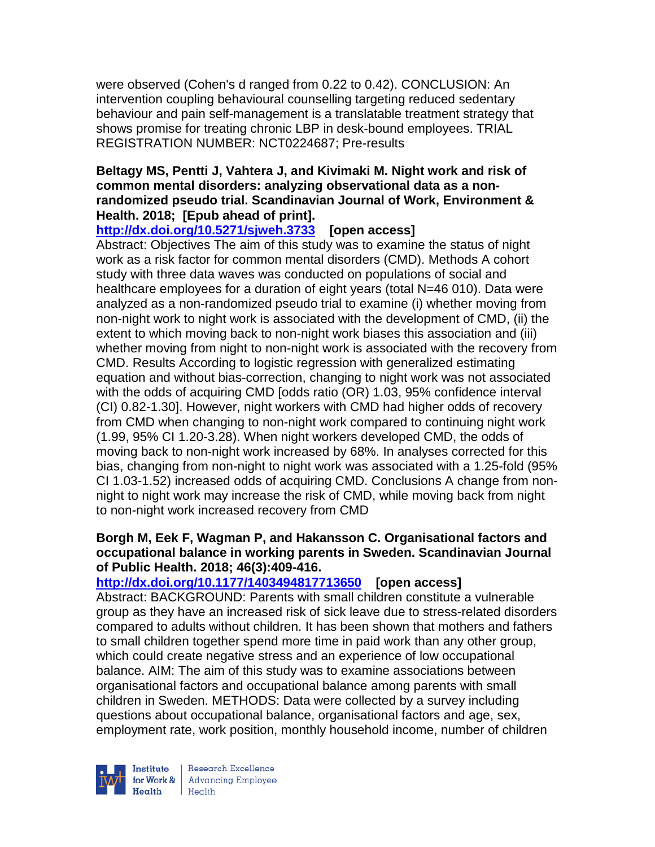were observed (Cohen's d ranged from 0.22 to 0.42). CONCLUSION: An intervention coupling behavioural counselling targeting reduced sedentary behaviour and pain self-management is a translatable treatment strategy that shows promise for treating chronic LBP in desk-bound employees. TRIAL REGISTRATION NUMBER: NCT0224687; Pre-results

# **Beltagy MS, Pentti J, Vahtera J, and Kivimaki M. Night work and risk of common mental disorders: analyzing observational data as a nonrandomized pseudo trial. Scandinavian Journal of Work, Environment & Health. 2018; [Epub ahead of print].**

**<http://dx.doi.org/10.5271/sjweh.3733>[open access]**

Abstract: Objectives The aim of this study was to examine the status of night work as a risk factor for common mental disorders (CMD). Methods A cohort study with three data waves was conducted on populations of social and healthcare employees for a duration of eight years (total N=46 010). Data were analyzed as a non-randomized pseudo trial to examine (i) whether moving from non-night work to night work is associated with the development of CMD, (ii) the extent to which moving back to non-night work biases this association and (iii) whether moving from night to non-night work is associated with the recovery from CMD. Results According to logistic regression with generalized estimating equation and without bias-correction, changing to night work was not associated with the odds of acquiring CMD [odds ratio (OR) 1.03, 95% confidence interval (CI) 0.82-1.30]. However, night workers with CMD had higher odds of recovery from CMD when changing to non-night work compared to continuing night work (1.99, 95% CI 1.20-3.28). When night workers developed CMD, the odds of moving back to non-night work increased by 68%. In analyses corrected for this bias, changing from non-night to night work was associated with a 1.25-fold (95% CI 1.03-1.52) increased odds of acquiring CMD. Conclusions A change from nonnight to night work may increase the risk of CMD, while moving back from night to non-night work increased recovery from CMD

### **Borgh M, Eek F, Wagman P, and Hakansson C. Organisational factors and occupational balance in working parents in Sweden. Scandinavian Journal of Public Health. 2018; 46(3):409-416.**

### **<http://dx.doi.org/10.1177/1403494817713650>[open access]**

Abstract: BACKGROUND: Parents with small children constitute a vulnerable group as they have an increased risk of sick leave due to stress-related disorders compared to adults without children. It has been shown that mothers and fathers to small children together spend more time in paid work than any other group, which could create negative stress and an experience of low occupational balance. AIM: The aim of this study was to examine associations between organisational factors and occupational balance among parents with small children in Sweden. METHODS: Data were collected by a survey including questions about occupational balance, organisational factors and age, sex, employment rate, work position, monthly household income, number of children

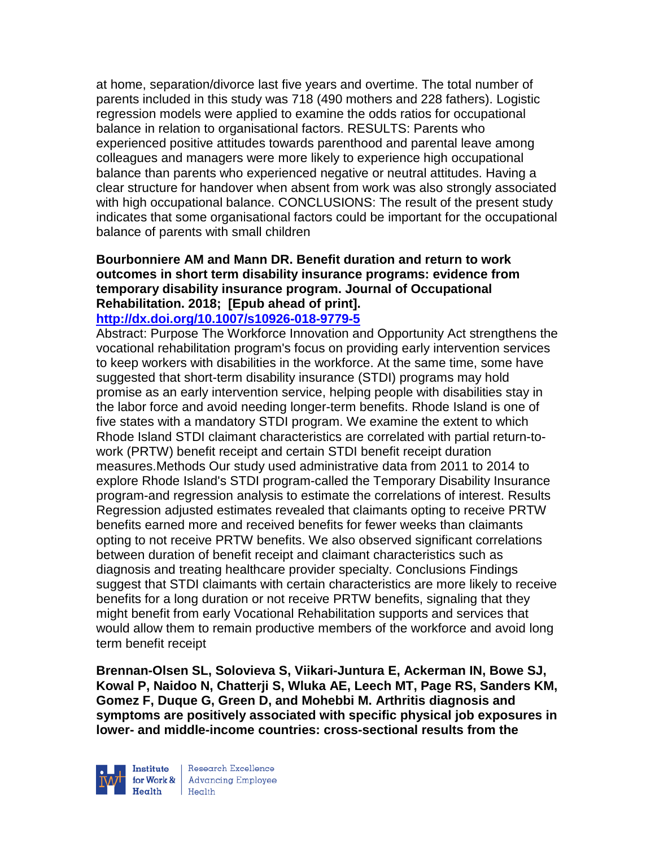at home, separation/divorce last five years and overtime. The total number of parents included in this study was 718 (490 mothers and 228 fathers). Logistic regression models were applied to examine the odds ratios for occupational balance in relation to organisational factors. RESULTS: Parents who experienced positive attitudes towards parenthood and parental leave among colleagues and managers were more likely to experience high occupational balance than parents who experienced negative or neutral attitudes. Having a clear structure for handover when absent from work was also strongly associated with high occupational balance. CONCLUSIONS: The result of the present study indicates that some organisational factors could be important for the occupational balance of parents with small children

# **Bourbonniere AM and Mann DR. Benefit duration and return to work outcomes in short term disability insurance programs: evidence from temporary disability insurance program. Journal of Occupational Rehabilitation. 2018; [Epub ahead of print].**

#### **<http://dx.doi.org/10.1007/s10926-018-9779-5>**

Abstract: Purpose The Workforce Innovation and Opportunity Act strengthens the vocational rehabilitation program's focus on providing early intervention services to keep workers with disabilities in the workforce. At the same time, some have suggested that short-term disability insurance (STDI) programs may hold promise as an early intervention service, helping people with disabilities stay in the labor force and avoid needing longer-term benefits. Rhode Island is one of five states with a mandatory STDI program. We examine the extent to which Rhode Island STDI claimant characteristics are correlated with partial return-towork (PRTW) benefit receipt and certain STDI benefit receipt duration measures.Methods Our study used administrative data from 2011 to 2014 to explore Rhode Island's STDI program-called the Temporary Disability Insurance program-and regression analysis to estimate the correlations of interest. Results Regression adjusted estimates revealed that claimants opting to receive PRTW benefits earned more and received benefits for fewer weeks than claimants opting to not receive PRTW benefits. We also observed significant correlations between duration of benefit receipt and claimant characteristics such as diagnosis and treating healthcare provider specialty. Conclusions Findings suggest that STDI claimants with certain characteristics are more likely to receive benefits for a long duration or not receive PRTW benefits, signaling that they might benefit from early Vocational Rehabilitation supports and services that would allow them to remain productive members of the workforce and avoid long term benefit receipt

**Brennan-Olsen SL, Solovieva S, Viikari-Juntura E, Ackerman IN, Bowe SJ, Kowal P, Naidoo N, Chatterji S, Wluka AE, Leech MT, Page RS, Sanders KM, Gomez F, Duque G, Green D, and Mohebbi M. Arthritis diagnosis and symptoms are positively associated with specific physical job exposures in lower- and middle-income countries: cross-sectional results from the** 



**Institute** Research Excellence<br>**for Work &** Advancing Employee  $H_{\text{each}}$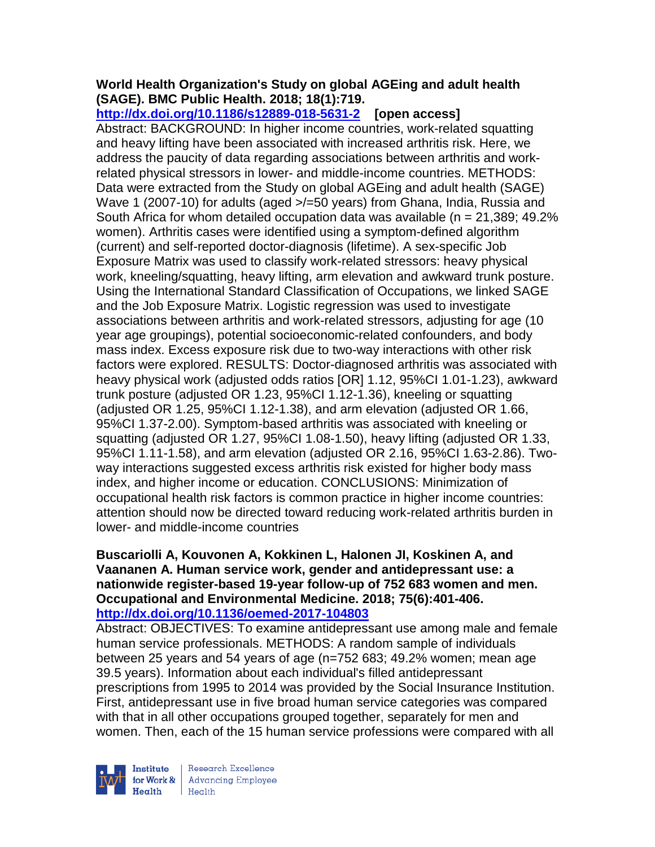# **World Health Organization's Study on global AGEing and adult health (SAGE). BMC Public Health. 2018; 18(1):719.**

**<http://dx.doi.org/10.1186/s12889-018-5631-2>[open access]**

Abstract: BACKGROUND: In higher income countries, work-related squatting and heavy lifting have been associated with increased arthritis risk. Here, we address the paucity of data regarding associations between arthritis and workrelated physical stressors in lower- and middle-income countries. METHODS: Data were extracted from the Study on global AGEing and adult health (SAGE) Wave 1 (2007-10) for adults (aged  $\ge$ /=50 years) from Ghana, India, Russia and South Africa for whom detailed occupation data was available ( $n = 21,389$ ; 49.2% women). Arthritis cases were identified using a symptom-defined algorithm (current) and self-reported doctor-diagnosis (lifetime). A sex-specific Job Exposure Matrix was used to classify work-related stressors: heavy physical work, kneeling/squatting, heavy lifting, arm elevation and awkward trunk posture. Using the International Standard Classification of Occupations, we linked SAGE and the Job Exposure Matrix. Logistic regression was used to investigate associations between arthritis and work-related stressors, adjusting for age (10 year age groupings), potential socioeconomic-related confounders, and body mass index. Excess exposure risk due to two-way interactions with other risk factors were explored. RESULTS: Doctor-diagnosed arthritis was associated with heavy physical work (adjusted odds ratios [OR] 1.12, 95%CI 1.01-1.23), awkward trunk posture (adjusted OR 1.23, 95%CI 1.12-1.36), kneeling or squatting (adjusted OR 1.25, 95%CI 1.12-1.38), and arm elevation (adjusted OR 1.66, 95%CI 1.37-2.00). Symptom-based arthritis was associated with kneeling or squatting (adjusted OR 1.27, 95%CI 1.08-1.50), heavy lifting (adjusted OR 1.33, 95%CI 1.11-1.58), and arm elevation (adjusted OR 2.16, 95%CI 1.63-2.86). Twoway interactions suggested excess arthritis risk existed for higher body mass index, and higher income or education. CONCLUSIONS: Minimization of occupational health risk factors is common practice in higher income countries: attention should now be directed toward reducing work-related arthritis burden in lower- and middle-income countries

#### **Buscariolli A, Kouvonen A, Kokkinen L, Halonen JI, Koskinen A, and Vaananen A. Human service work, gender and antidepressant use: a nationwide register-based 19-year follow-up of 752 683 women and men. Occupational and Environmental Medicine. 2018; 75(6):401-406. <http://dx.doi.org/10.1136/oemed-2017-104803>**

Abstract: OBJECTIVES: To examine antidepressant use among male and female human service professionals. METHODS: A random sample of individuals between 25 years and 54 years of age (n=752 683; 49.2% women; mean age 39.5 years). Information about each individual's filled antidepressant prescriptions from 1995 to 2014 was provided by the Social Insurance Institution. First, antidepressant use in five broad human service categories was compared with that in all other occupations grouped together, separately for men and women. Then, each of the 15 human service professions were compared with all

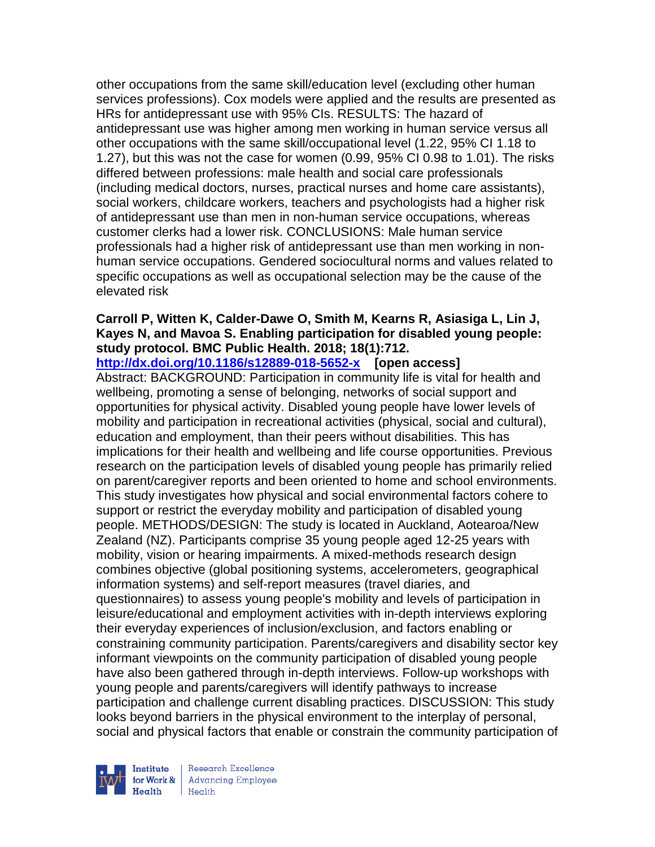other occupations from the same skill/education level (excluding other human services professions). Cox models were applied and the results are presented as HRs for antidepressant use with 95% CIs. RESULTS: The hazard of antidepressant use was higher among men working in human service versus all other occupations with the same skill/occupational level (1.22, 95% CI 1.18 to 1.27), but this was not the case for women (0.99, 95% CI 0.98 to 1.01). The risks differed between professions: male health and social care professionals (including medical doctors, nurses, practical nurses and home care assistants), social workers, childcare workers, teachers and psychologists had a higher risk of antidepressant use than men in non-human service occupations, whereas customer clerks had a lower risk. CONCLUSIONS: Male human service professionals had a higher risk of antidepressant use than men working in nonhuman service occupations. Gendered sociocultural norms and values related to specific occupations as well as occupational selection may be the cause of the elevated risk

# **Carroll P, Witten K, Calder-Dawe O, Smith M, Kearns R, Asiasiga L, Lin J, Kayes N, and Mavoa S. Enabling participation for disabled young people: study protocol. BMC Public Health. 2018; 18(1):712.**

**<http://dx.doi.org/10.1186/s12889-018-5652-x>[open access]**

Abstract: BACKGROUND: Participation in community life is vital for health and wellbeing, promoting a sense of belonging, networks of social support and opportunities for physical activity. Disabled young people have lower levels of mobility and participation in recreational activities (physical, social and cultural), education and employment, than their peers without disabilities. This has implications for their health and wellbeing and life course opportunities. Previous research on the participation levels of disabled young people has primarily relied on parent/caregiver reports and been oriented to home and school environments. This study investigates how physical and social environmental factors cohere to support or restrict the everyday mobility and participation of disabled young people. METHODS/DESIGN: The study is located in Auckland, Aotearoa/New Zealand (NZ). Participants comprise 35 young people aged 12-25 years with mobility, vision or hearing impairments. A mixed-methods research design combines objective (global positioning systems, accelerometers, geographical information systems) and self-report measures (travel diaries, and questionnaires) to assess young people's mobility and levels of participation in leisure/educational and employment activities with in-depth interviews exploring their everyday experiences of inclusion/exclusion, and factors enabling or constraining community participation. Parents/caregivers and disability sector key informant viewpoints on the community participation of disabled young people have also been gathered through in-depth interviews. Follow-up workshops with young people and parents/caregivers will identify pathways to increase participation and challenge current disabling practices. DISCUSSION: This study looks beyond barriers in the physical environment to the interplay of personal, social and physical factors that enable or constrain the community participation of

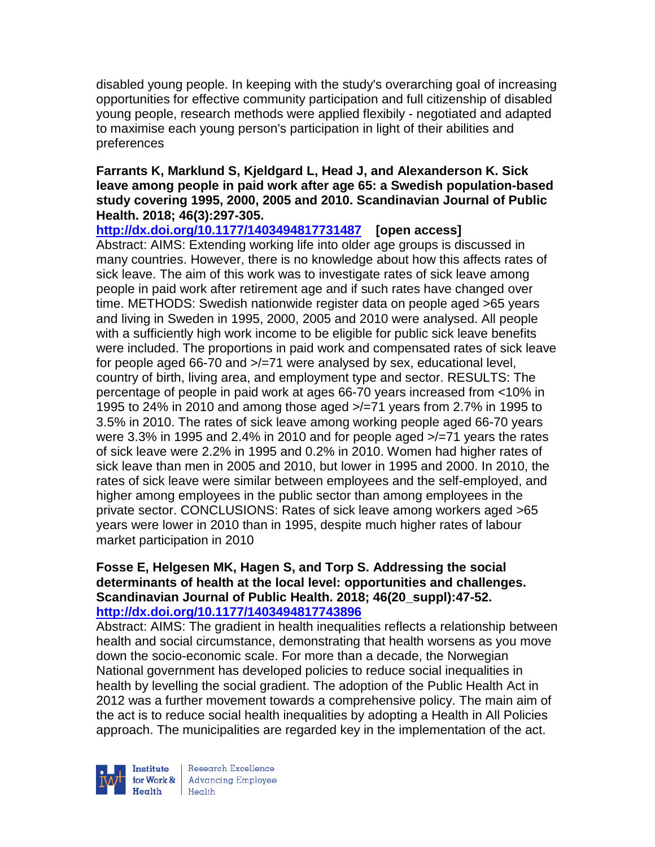disabled young people. In keeping with the study's overarching goal of increasing opportunities for effective community participation and full citizenship of disabled young people, research methods were applied flexibily - negotiated and adapted to maximise each young person's participation in light of their abilities and preferences

#### **Farrants K, Marklund S, Kjeldgard L, Head J, and Alexanderson K. Sick leave among people in paid work after age 65: a Swedish population-based study covering 1995, 2000, 2005 and 2010. Scandinavian Journal of Public Health. 2018; 46(3):297-305.**

**<http://dx.doi.org/10.1177/1403494817731487>[open access]**

Abstract: AIMS: Extending working life into older age groups is discussed in many countries. However, there is no knowledge about how this affects rates of sick leave. The aim of this work was to investigate rates of sick leave among people in paid work after retirement age and if such rates have changed over time. METHODS: Swedish nationwide register data on people aged >65 years and living in Sweden in 1995, 2000, 2005 and 2010 were analysed. All people with a sufficiently high work income to be eligible for public sick leave benefits were included. The proportions in paid work and compensated rates of sick leave for people aged 66-70 and >/=71 were analysed by sex, educational level, country of birth, living area, and employment type and sector. RESULTS: The percentage of people in paid work at ages 66-70 years increased from <10% in 1995 to 24% in 2010 and among those aged >/=71 years from 2.7% in 1995 to 3.5% in 2010. The rates of sick leave among working people aged 66-70 years were 3.3% in 1995 and 2.4% in 2010 and for people aged >/=71 years the rates of sick leave were 2.2% in 1995 and 0.2% in 2010. Women had higher rates of sick leave than men in 2005 and 2010, but lower in 1995 and 2000. In 2010, the rates of sick leave were similar between employees and the self-employed, and higher among employees in the public sector than among employees in the private sector. CONCLUSIONS: Rates of sick leave among workers aged >65 years were lower in 2010 than in 1995, despite much higher rates of labour market participation in 2010

### **Fosse E, Helgesen MK, Hagen S, and Torp S. Addressing the social determinants of health at the local level: opportunities and challenges. Scandinavian Journal of Public Health. 2018; 46(20\_suppl):47-52. <http://dx.doi.org/10.1177/1403494817743896>**

Abstract: AIMS: The gradient in health inequalities reflects a relationship between health and social circumstance, demonstrating that health worsens as you move down the socio-economic scale. For more than a decade, the Norwegian National government has developed policies to reduce social inequalities in health by levelling the social gradient. The adoption of the Public Health Act in 2012 was a further movement towards a comprehensive policy. The main aim of the act is to reduce social health inequalities by adopting a Health in All Policies approach. The municipalities are regarded key in the implementation of the act.

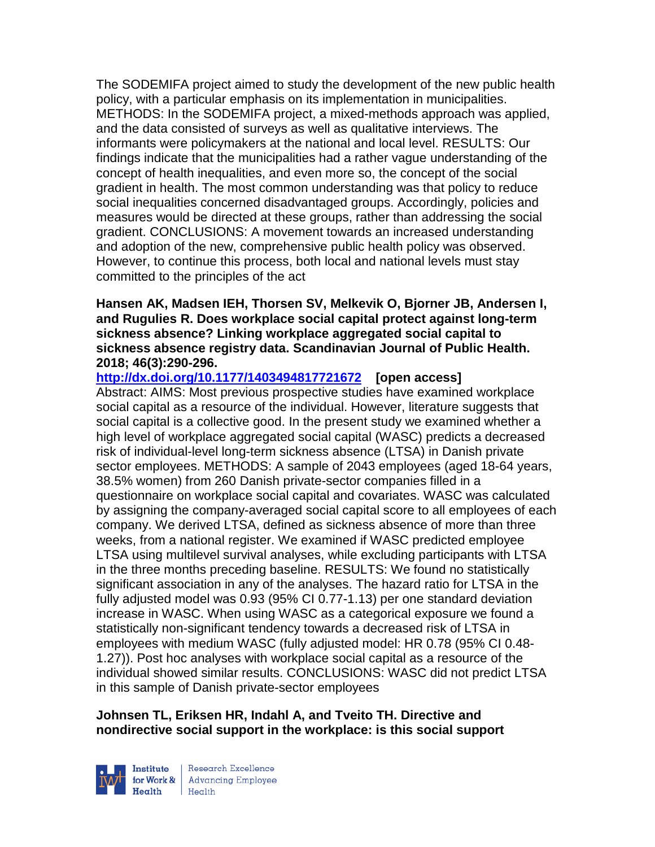The SODEMIFA project aimed to study the development of the new public health policy, with a particular emphasis on its implementation in municipalities. METHODS: In the SODEMIFA project, a mixed-methods approach was applied, and the data consisted of surveys as well as qualitative interviews. The informants were policymakers at the national and local level. RESULTS: Our findings indicate that the municipalities had a rather vague understanding of the concept of health inequalities, and even more so, the concept of the social gradient in health. The most common understanding was that policy to reduce social inequalities concerned disadvantaged groups. Accordingly, policies and measures would be directed at these groups, rather than addressing the social gradient. CONCLUSIONS: A movement towards an increased understanding and adoption of the new, comprehensive public health policy was observed. However, to continue this process, both local and national levels must stay committed to the principles of the act

#### **Hansen AK, Madsen IEH, Thorsen SV, Melkevik O, Bjorner JB, Andersen I, and Rugulies R. Does workplace social capital protect against long-term sickness absence? Linking workplace aggregated social capital to sickness absence registry data. Scandinavian Journal of Public Health. 2018; 46(3):290-296.**

**<http://dx.doi.org/10.1177/1403494817721672>[open access]**

Abstract: AIMS: Most previous prospective studies have examined workplace social capital as a resource of the individual. However, literature suggests that social capital is a collective good. In the present study we examined whether a high level of workplace aggregated social capital (WASC) predicts a decreased risk of individual-level long-term sickness absence (LTSA) in Danish private sector employees. METHODS: A sample of 2043 employees (aged 18-64 years, 38.5% women) from 260 Danish private-sector companies filled in a questionnaire on workplace social capital and covariates. WASC was calculated by assigning the company-averaged social capital score to all employees of each company. We derived LTSA, defined as sickness absence of more than three weeks, from a national register. We examined if WASC predicted employee LTSA using multilevel survival analyses, while excluding participants with LTSA in the three months preceding baseline. RESULTS: We found no statistically significant association in any of the analyses. The hazard ratio for LTSA in the fully adjusted model was 0.93 (95% CI 0.77-1.13) per one standard deviation increase in WASC. When using WASC as a categorical exposure we found a statistically non-significant tendency towards a decreased risk of LTSA in employees with medium WASC (fully adjusted model: HR 0.78 (95% CI 0.48- 1.27)). Post hoc analyses with workplace social capital as a resource of the individual showed similar results. CONCLUSIONS: WASC did not predict LTSA in this sample of Danish private-sector employees

### **Johnsen TL, Eriksen HR, Indahl A, and Tveito TH. Directive and nondirective social support in the workplace: is this social support**

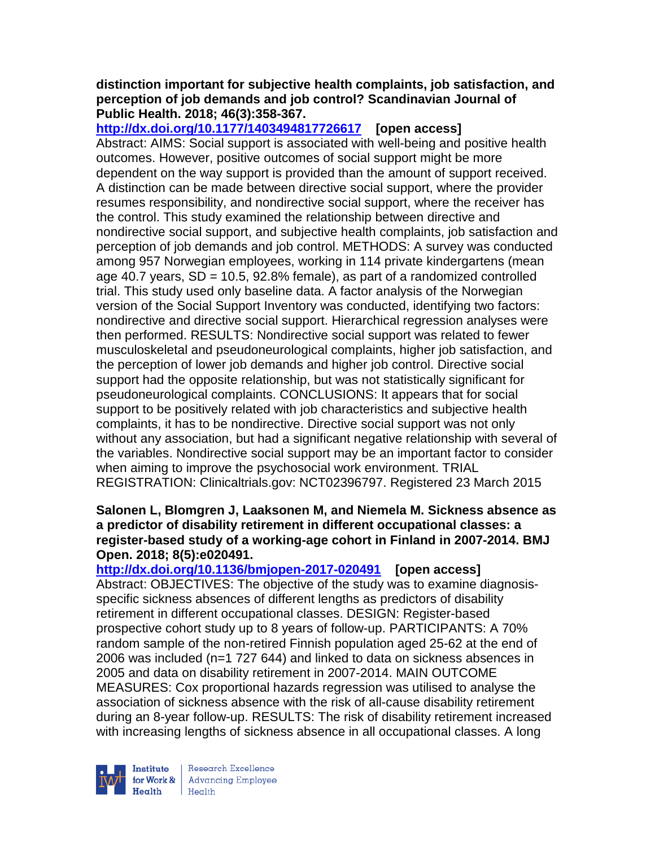### **distinction important for subjective health complaints, job satisfaction, and perception of job demands and job control? Scandinavian Journal of Public Health. 2018; 46(3):358-367.**

**<http://dx.doi.org/10.1177/1403494817726617>[open access]** Abstract: AIMS: Social support is associated with well-being and positive health outcomes. However, positive outcomes of social support might be more dependent on the way support is provided than the amount of support received. A distinction can be made between directive social support, where the provider resumes responsibility, and nondirective social support, where the receiver has the control. This study examined the relationship between directive and nondirective social support, and subjective health complaints, job satisfaction and perception of job demands and job control. METHODS: A survey was conducted among 957 Norwegian employees, working in 114 private kindergartens (mean age  $40.7$  years,  $SD = 10.5$ ,  $92.8\%$  female), as part of a randomized controlled trial. This study used only baseline data. A factor analysis of the Norwegian version of the Social Support Inventory was conducted, identifying two factors: nondirective and directive social support. Hierarchical regression analyses were then performed. RESULTS: Nondirective social support was related to fewer musculoskeletal and pseudoneurological complaints, higher job satisfaction, and the perception of lower job demands and higher job control. Directive social support had the opposite relationship, but was not statistically significant for pseudoneurological complaints. CONCLUSIONS: It appears that for social support to be positively related with job characteristics and subjective health complaints, it has to be nondirective. Directive social support was not only without any association, but had a significant negative relationship with several of the variables. Nondirective social support may be an important factor to consider when aiming to improve the psychosocial work environment. TRIAL REGISTRATION: Clinicaltrials.gov: NCT02396797. Registered 23 March 2015

### **Salonen L, Blomgren J, Laaksonen M, and Niemela M. Sickness absence as a predictor of disability retirement in different occupational classes: a register-based study of a working-age cohort in Finland in 2007-2014. BMJ Open. 2018; 8(5):e020491.**

**<http://dx.doi.org/10.1136/bmjopen-2017-020491>[open access]** Abstract: OBJECTIVES: The objective of the study was to examine diagnosisspecific sickness absences of different lengths as predictors of disability retirement in different occupational classes. DESIGN: Register-based prospective cohort study up to 8 years of follow-up. PARTICIPANTS: A 70% random sample of the non-retired Finnish population aged 25-62 at the end of 2006 was included (n=1 727 644) and linked to data on sickness absences in 2005 and data on disability retirement in 2007-2014. MAIN OUTCOME MEASURES: Cox proportional hazards regression was utilised to analyse the association of sickness absence with the risk of all-cause disability retirement during an 8-year follow-up. RESULTS: The risk of disability retirement increased with increasing lengths of sickness absence in all occupational classes. A long



Institute | Research Excellence<br>for Work & | Advancing Employee  $H$ ealth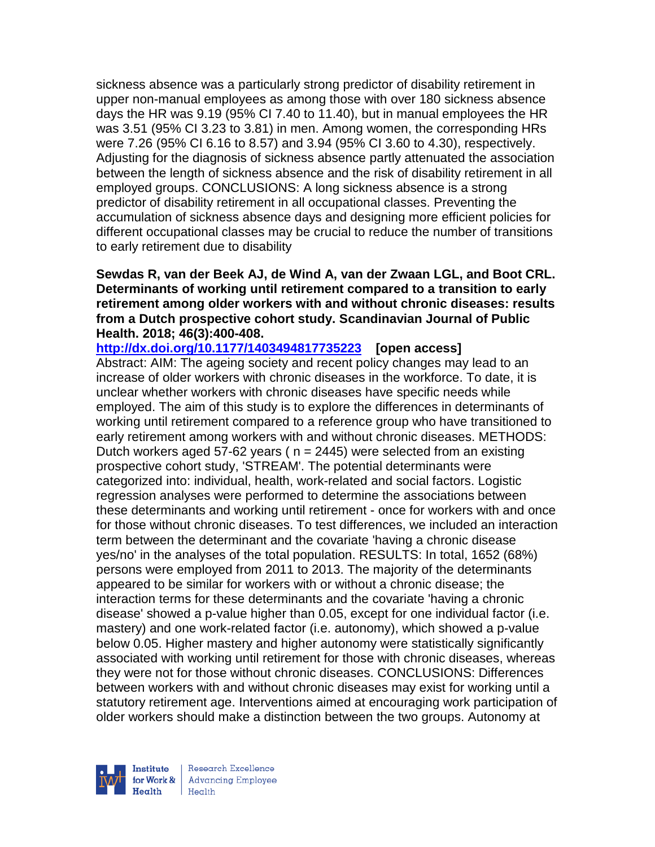sickness absence was a particularly strong predictor of disability retirement in upper non-manual employees as among those with over 180 sickness absence days the HR was 9.19 (95% CI 7.40 to 11.40), but in manual employees the HR was 3.51 (95% CI 3.23 to 3.81) in men. Among women, the corresponding HRs were 7.26 (95% CI 6.16 to 8.57) and 3.94 (95% CI 3.60 to 4.30), respectively. Adjusting for the diagnosis of sickness absence partly attenuated the association between the length of sickness absence and the risk of disability retirement in all employed groups. CONCLUSIONS: A long sickness absence is a strong predictor of disability retirement in all occupational classes. Preventing the accumulation of sickness absence days and designing more efficient policies for different occupational classes may be crucial to reduce the number of transitions to early retirement due to disability

#### **Sewdas R, van der Beek AJ, de Wind A, van der Zwaan LGL, and Boot CRL. Determinants of working until retirement compared to a transition to early retirement among older workers with and without chronic diseases: results from a Dutch prospective cohort study. Scandinavian Journal of Public Health. 2018; 46(3):400-408.**

**<http://dx.doi.org/10.1177/1403494817735223>[open access]**

Abstract: AIM: The ageing society and recent policy changes may lead to an increase of older workers with chronic diseases in the workforce. To date, it is unclear whether workers with chronic diseases have specific needs while employed. The aim of this study is to explore the differences in determinants of working until retirement compared to a reference group who have transitioned to early retirement among workers with and without chronic diseases. METHODS: Dutch workers aged 57-62 years ( $n = 2445$ ) were selected from an existing prospective cohort study, 'STREAM'. The potential determinants were categorized into: individual, health, work-related and social factors. Logistic regression analyses were performed to determine the associations between these determinants and working until retirement - once for workers with and once for those without chronic diseases. To test differences, we included an interaction term between the determinant and the covariate 'having a chronic disease yes/no' in the analyses of the total population. RESULTS: In total, 1652 (68%) persons were employed from 2011 to 2013. The majority of the determinants appeared to be similar for workers with or without a chronic disease; the interaction terms for these determinants and the covariate 'having a chronic disease' showed a p-value higher than 0.05, except for one individual factor (i.e. mastery) and one work-related factor (i.e. autonomy), which showed a p-value below 0.05. Higher mastery and higher autonomy were statistically significantly associated with working until retirement for those with chronic diseases, whereas they were not for those without chronic diseases. CONCLUSIONS: Differences between workers with and without chronic diseases may exist for working until a statutory retirement age. Interventions aimed at encouraging work participation of older workers should make a distinction between the two groups. Autonomy at



Research Excellence for Work & Advancing Employee Health